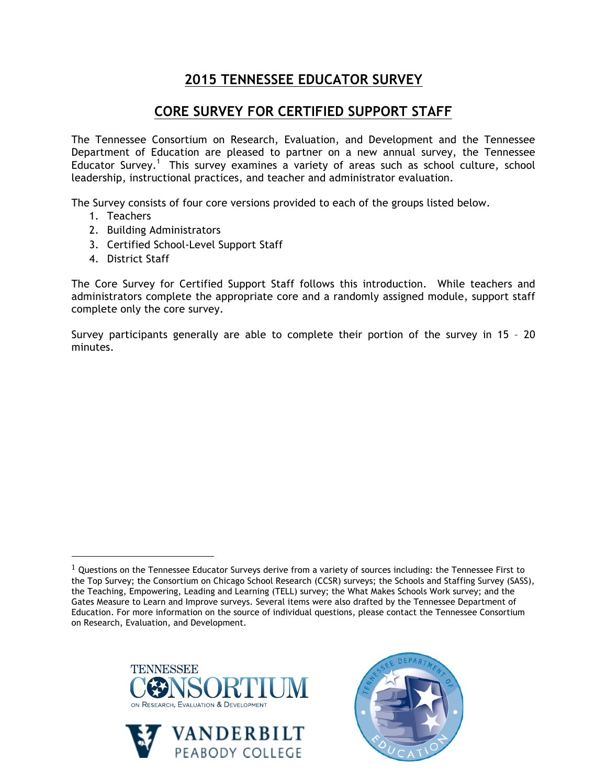## **2015 TENNESSEE EDUCATOR SURVEY**

## **CORE SURVEY FOR CERTIFIED SUPPORT STAFF**

The Tennessee Consortium on Research, Evaluation, and Development and the Tennessee Department of Education are pleased to partner on a new annual survey, the Tennessee Educator Survey.<sup>1</sup> This survey examines a variety of areas such as school culture, school leadership, instructional practices, and teacher and administrator evaluation.

The Survey consists of four core versions provided to each of the groups listed below.

- 1. Teachers
- 2. Building Administrators
- 3. Certified School-Level Support Staff
- 4. District Staff

!!!!!!!!!!!!!!!!!!!!!!!!!!!!!!!!!!!!!!!!!!!!!!!!!!!!!!!

The Core Survey for Certified Support Staff follows this introduction. While teachers and administrators complete the appropriate core and a randomly assigned module, support staff complete only the core survey.

Survey participants generally are able to complete their portion of the survey in 15 – 20 minutes.

 $1$  Questions on the Tennessee Educator Surveys derive from a variety of sources including: the Tennessee First to the Top Survey; the Consortium on Chicago School Research (CCSR) surveys; the Schools and Staffing Survey (SASS), the Teaching, Empowering, Leading and Learning (TELL) survey; the What Makes Schools Work survey; and the Gates Measure to Learn and Improve surveys. Several items were also drafted by the Tennessee Department of Education. For more information on the source of individual questions, please contact the Tennessee Consortium on Research, Evaluation, and Development.